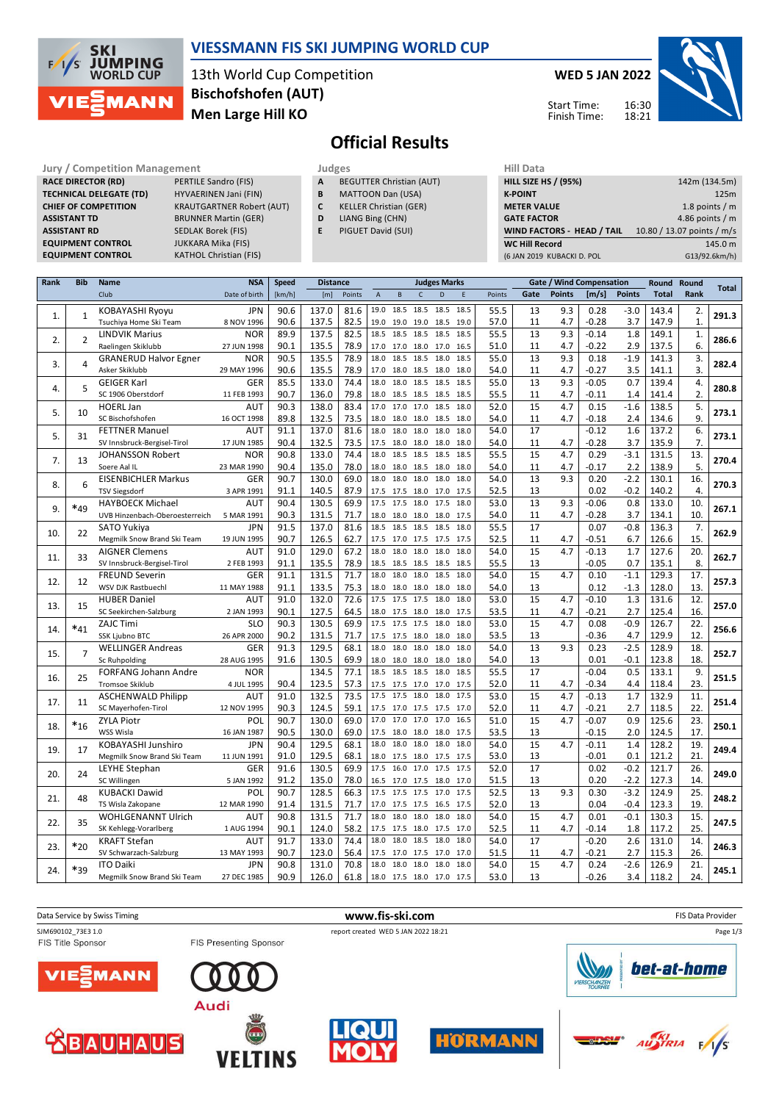

### **VIESSMANN FIS SKI JUMPING WORLD CUP**

13th World Cup Competition **Men Large Hill KO Bischofshofen (AUT)**

### **WED 5 JAN 2022**

Start Time: Finish Time:



**Official Results**

**Jury / Competition Management Judges Judges Hill Data**<br>**RACE DIRECTOR (RD) PERTILE Sandro (FIS) A** BEGUTTER Christian (AUT) **HILL SIZE RACE DIRECTOR (RD) TECHNICAL DELEGATE (TD)** HYVAERINEN Jani (FIN) **ASSISTANT TD** BRUNNER Martin (GER) **ASSISTANT RD** SEDLAK Borek (FIS)<br>**EQUIPMENT CONTROL** JUKKARA Mika (FIS) **EQUIPMENT CONTROL**<br>**EQUIPMENT CONTROL** 

**CHIEF OF COMPETITION** KRAUTGARTNER Robert (AUT) **KATHOL Christian (FIS)** 

| - - |  |
|-----|--|
|-----|--|

- **A** BEGUTTER Christian (AUT) **B** MATTOON Dan (USA)
- **C** KELLER Christian (GER)
- **D** LIANG Bing (CHN)
- **E** PIGUET David (SUI)

| (6 JAN 2019 KUBACKI D. POL  | G13/92.6km/h)              |
|-----------------------------|----------------------------|
| <b>WC Hill Record</b>       | 145.0 m                    |
| WIND FACTORS - HEAD / TAIL  | 10.80 / 13.07 points / m/s |
| <b>GATE FACTOR</b>          | 4.86 points $/m$           |
| <b>METER VALUE</b>          | 1.8 points $/m$            |
| <b>K-POINT</b>              | 125m                       |
| <b>HILL SIZE HS / (95%)</b> | 142m (134.5m)              |
| нш рата                     |                            |

| Rank | <b>Bib</b>     | Name                                              | <b>NSA</b>                | <b>Speed</b> | <b>Distance</b> |              |                |                          |              | <b>Judges Marks</b> |              |              | Gate / Wind Compensation |               |                    | Round Round   | <b>Total</b>   |                  |       |
|------|----------------|---------------------------------------------------|---------------------------|--------------|-----------------|--------------|----------------|--------------------------|--------------|---------------------|--------------|--------------|--------------------------|---------------|--------------------|---------------|----------------|------------------|-------|
|      |                | Club                                              | Date of birth             | [km/h]       | [m]             | Points       | $\overline{A}$ | B                        | $\mathsf{C}$ | D                   | F            | Points       | Gate                     | <b>Points</b> | [m/s]              | <b>Points</b> | <b>Total</b>   | Rank             |       |
|      |                | <b>KOBAYASHI Ryoyu</b>                            | <b>JPN</b>                | 90.6         | 137.0           | 81.6         | 19.0           | 18.5                     | 18.5         | 18.5                | 18.5         | 55.5         | 13                       | 9.3           | 0.28               | $-3.0$        | 143.4          | 2.               |       |
| 1.   | $\mathbf{1}$   | Tsuchiya Home Ski Team                            | 8 NOV 1996                | 90.6         | 137.5           | 82.5         | 19.0           | 19.0 19.0                |              | 18.5                | 19.0         | 57.0         | 11                       | 4.7           | $-0.28$            | 3.7           | 147.9          | 1.               | 291.3 |
| 2.   | $\overline{2}$ | <b>LINDVIK Marius</b>                             | <b>NOR</b>                | 89.9         | 137.5           | 82.5         | 18.5           | 18.5 18.5                |              | 18.5                | 18.5         | 55.5         | 13                       | 9.3           | $-0.14$            | 1.8           | 149.1          | 1.               | 286.6 |
|      |                | Raelingen Skiklubb                                | 27 JUN 1998               | 90.1         | 135.5           | 78.9         | 17.0           | 17.0 18.0 17.0           |              |                     | 16.5         | 51.0         | 11                       | 4.7           | $-0.22$            | 2.9           | 137.5          | 6.               |       |
| 3.   | 4              | <b>GRANERUD Halvor Egner</b>                      | <b>NOR</b>                | 90.5         | 135.5           | 78.9         | 18.0           | 18.5                     | 18.5         | 18.0                | 18.5         | 55.0         | 13                       | 9.3           | 0.18               | $-1.9$        | 141.3          | 3.               | 282.4 |
|      |                | Asker Skiklubb                                    | 29 MAY 1996               | 90.6         | 135.5           | 78.9         | 17.0           | 18.0 18.5                |              | 18.0                | 18.0         | 54.0         | 11                       | 4.7           | $-0.27$            | 3.5           | 141.1          | $\overline{3}$ . |       |
| 4.   | 5              | <b>GEIGER Karl</b>                                | GER                       | 85.5         | 133.0           | 74.4         | 18.0           | 18.0                     | 18.5         | 18.5                | 18.5         | 55.0         | 13                       | 9.3           | $-0.05$            | 0.7           | 139.4          | 4.               | 280.8 |
|      |                | SC 1906 Oberstdorf                                | 11 FEB 1993               | 90.7         | 136.0           | 79.8         | 18.0           | 18.5 18.5                |              | 18.5                | 18.5         | 55.5         | 11                       | 4.7           | $-0.11$            | 1.4           | 141.4          | 2.               |       |
| 5.   | 10             | <b>HOERL Jan</b>                                  | AUT                       | 90.3         | 138.0           | 83.4         | 17.0           | 17.0                     | 17.0         | 18.5                | 18.0         | 52.0         | 15                       | 4.7           | 0.15               | $-1.6$        | 138.5          | 5.               | 273.1 |
|      |                | SC Bischofshofen                                  | 16 OCT 1998               | 89.8         | 132.5           | 73.5         | 18.0           | 18.0 18.0                |              | 18.5                | 18.0         | 54.0         | 11                       | 4.7           | $-0.18$            | 2.4           | 134.6          | 9.               |       |
| 5.   | 31             | <b>FETTNER Manuel</b>                             | AUT                       | 91.1         | 137.0           | 81.6         | 18.0           | 18.0                     | 18.0         | 18.0                | 18.0         | 54.0         | 17                       |               | $-0.12$            | 1.6           | 137.2          | 6.               | 273.1 |
|      |                | SV Innsbruck-Bergisel-Tirol                       | 17 JUN 1985<br><b>NOR</b> | 90.4<br>90.8 | 132.5<br>133.0  | 73.5<br>74.4 | 17.5           | 18.0 18.0                |              | 18.0                | 18.0         | 54.0         | 11<br>15                 | 4.7<br>4.7    | $-0.28$<br>0.29    | 3.7<br>$-3.1$ | 135.9          | 7.               |       |
| 7.   | 13             | <b>JOHANSSON Robert</b>                           |                           | 90.4         |                 | 78.0         | 18.0           | 18.5                     | 18.5         | 18.5                | 18.5         | 55.5<br>54.0 | 11                       | 4.7           | $-0.17$            | 2.2           | 131.5<br>138.9 | 13.<br>5.        | 270.4 |
|      |                | Soere Aal IL<br><b>EISENBICHLER Markus</b>        | 23 MAR 1990<br>GER        | 90.7         | 135.0<br>130.0  | 69.0         | 18.0<br>18.0   | 18.0 18.5<br>18.0        | 18.0         | 18.0<br>18.0        | 18.0<br>18.0 | 54.0         | 13                       | 9.3           | 0.20               | $-2.2$        | 130.1          | 16.              |       |
| 8.   | 6              | <b>TSV Siegsdorf</b>                              | 3 APR 1991                | 91.1         | 140.5           | 87.9         |                | 17.5 17.5 18.0 17.0      |              |                     | 17.5         | 52.5         | 13                       |               | 0.02               | $-0.2$        | 140.2          | 4.               | 270.3 |
|      |                | <b>HAYBOECK Michael</b>                           | AUT                       | 90.4         | 130.5           | 69.9         | 17.5           | 17.5                     | 18.0         | 17.5                | 18.0         | 53.0         | 13                       | 9.3           | $-0.06$            | 0.8           | 133.0          | 10.              |       |
| 9.   | $*_{49}$       | UVB Hinzenbach-Oberoesterreich                    | 5 MAR 1991                | 90.3         | 131.5           | 71.7         | 18.0           | 18.0 18.0                |              | 18.0                | 17.5         | 54.0         | 11                       | 4.7           | $-0.28$            | 3.7           | 134.1          | 10.              | 267.1 |
|      |                | <b>SATO Yukiva</b>                                | <b>JPN</b>                | 91.5         | 137.0           | 81.6         | 18.5           | 18.5                     | 18.5         | 18.5                | 18.0         | 55.5         | 17                       |               | 0.07               | $-0.8$        | 136.3          | 7.               |       |
| 10.  | 22             | Megmilk Snow Brand Ski Team                       | 19 JUN 1995               | 90.7         | 126.5           | 62.7         | 17.5           | 17.0 17.5                |              | 17.5                | 17.5         | 52.5         | 11                       | 4.7           | $-0.51$            | 6.7           | 126.6          | 15.              | 262.9 |
|      |                | <b>AIGNER Clemens</b>                             | AUT                       | 91.0         | 129.0           | 67.2         | 18.0           | 18.0                     | 18.0         | 18.0                | 18.0         | 54.0         | 15                       | 4.7           | $-0.13$            | 1.7           | 127.6          | 20.              |       |
| 11.  | 33             | SV Innsbruck-Bergisel-Tirol                       | 2 FEB 1993                | 91.1         | 135.5           | 78.9         | 18.5           | 18.5 18.5                |              | 18.5                | 18.5         | 55.5         | 13                       |               | $-0.05$            | 0.7           | 135.1          | 8.               | 262.7 |
|      |                | <b>FREUND Severin</b>                             | GER                       | 91.1         | 131.5           | 71.7         | 18.0           | 18.0                     | 18.0         | 18.5                | 18.0         | 54.0         | 15                       | 4.7           | 0.10               | $-1.1$        | 129.3          | 17.              |       |
| 12.  | 12             | WSV DJK Rastbuechl                                | 11 MAY 1988               | 91.1         | 133.5           | 75.3         | 18.0           | 18.0 18.0                |              | 18.0                | 18.0         | 54.0         | 13                       |               | 0.12               | $-1.3$        | 128.0          | 13.              | 257.3 |
|      | 15             | <b>HUBER Daniel</b>                               | AUT                       | 91.0         | 132.0           | 72.6         | 17.5           | 17.5                     | 17.5         | 18.0                | 18.0         | 53.0         | 15                       | 4.7           | $-0.10$            | 1.3           | 131.6          | 12.              | 257.0 |
| 13.  |                | SC Seekirchen-Salzburg                            | 2 JAN 1993                | 90.1         | 127.5           | 64.5         |                | 18.0 17.5 18.0           |              | 18.0                | 17.5         | 53.5         | 11                       | 4.7           | $-0.21$            | 2.7           | 125.4          | 16.              |       |
| 14.  | $\ast_{41}$    | <b>ZAJC Timi</b>                                  | <b>SLO</b>                | 90.3         | 130.5           | 69.9         | 17.5           | 17.5                     | 17.5         | 18.0                | 18.0         | 53.0         | 15                       | 4.7           | 0.08               | $-0.9$        | 126.7          | 22.              | 256.6 |
|      |                | <b>SSK Ljubno BTC</b>                             | 26 APR 2000               | 90.2         | 131.5           | 71.7         | 17.5           | 17.5 18.0                |              | 18.0                | 18.0         | 53.5         | 13                       |               | $-0.36$            | 4.7           | 129.9          | 12.              |       |
| 15.  | $\overline{7}$ | <b>WELLINGER Andreas</b>                          | GER                       | 91.3         | 129.5           | 68.1         | 18.0           | 18.0                     | 18.0         | 18.0                | 18.0         | 54.0         | 13                       | 9.3           | 0.23               | $-2.5$        | 128.9          | 18.              | 252.7 |
|      |                | Sc Ruhpolding                                     | 28 AUG 1995               | 91.6         | 130.5           | 69.9         | 18.0           | 18.0 18.0                |              | 18.0                | 18.0         | 54.0         | 13                       |               | 0.01               | $-0.1$        | 123.8          | 18.              |       |
| 16.  | 25             | <b>FORFANG Johann Andre</b>                       | <b>NOR</b>                |              | 134.5           | 77.1         | 18.5           | 18.5                     | 18.5         | 18.0                | 18.5         | 55.5         | 17                       |               | $-0.04$            | 0.5           | 133.1          | 9.               | 251.5 |
|      |                | <b>Tromsoe Skiklub</b>                            | 4 JUL 1995                | 90.4         | 123.5           | 57.3         |                | 17.5 17.5 17.0 17.0      |              |                     | 17.5         | 52.0         | 11                       | 4.7           | $-0.34$            | 4.4           | 118.4          | 23.              |       |
| 17.  | 11             | <b>ASCHENWALD Philipp</b>                         | AUT                       | 91.0         | 132.5           | 73.5         | 17.5           | 17.5                     | 18.0         | 18.0                | 17.5         | 53.0         | 15                       | 4.7           | $-0.13$            | 1.7           | 132.9          | 11.              | 251.4 |
|      |                | SC Mayerhofen-Tirol                               | 12 NOV 1995               | 90.3         | 124.5           | 59.1         |                | 17.5 17.0 17.5           |              | 17.5                | 17.0         | 52.0         | 11                       | 4.7           | $-0.21$            | 2.7           | 118.5          | 22.              |       |
| 18.  | $*_{16}$       | <b>ZYLA Piotr</b>                                 | POL                       | 90.7         | 130.0           | 69.0         | 17.0           | 17.0                     | 17.0         | 17.0                | 16.5         | 51.0         | 15                       | 4.7           | $-0.07$            | 0.9           | 125.6          | 23.              | 250.1 |
|      |                | WSS Wisla                                         | 16 JAN 1987               | 90.5<br>90.4 | 130.0           | 69.0<br>68.1 | 17.5<br>18.0   | 18.0 18.0<br>18.0        | 18.0         | 18.0<br>18.0        | 17.5<br>18.0 | 53.5<br>54.0 | 13<br>15                 | 4.7           | $-0.15$<br>$-0.11$ | 2.0           | 124.5          | 17.              |       |
| 19.  | 17             | KOBAYASHI Junshiro<br>Megmilk Snow Brand Ski Team | <b>JPN</b><br>11 JUN 1991 | 91.0         | 129.5<br>129.5  | 68.1         |                | 18.0 17.5 18.0 17.5      |              |                     |              | 53.0         | 13                       |               | $-0.01$            | 1.4<br>0.1    | 128.2<br>121.2 | 19.<br>21.       | 249.4 |
|      |                | LEYHE Stephan                                     | GER                       | 91.6         | 130.5           | 69.9         | 17.5           | 16.0                     | 17.0         | 17.5                | 17.5<br>17.5 | 52.0         | 17                       |               | 0.02               | $-0.2$        | 121.7          | 26.              |       |
| 20.  | 24             | SC Willingen                                      | 5 JAN 1992                | 91.2         | 135.0           | 78.0         | 16.5           | 17.0 17.5                |              | 18.0                | 17.0         | 51.5         | 13                       |               | 0.20               | $-2.2$        | 127.3          | 14.              | 249.0 |
|      |                | <b>KUBACKI Dawid</b>                              | POL                       | 90.7         | 128.5           | 66.3         | 17.5           | 17.5                     | 17.5         | 17.0                | 17.5         | 52.5         | 13                       | 9.3           | 0.30               | $-3.2$        | 124.9          | 25.              |       |
| 21.  | 48             | TS Wisla Zakopane                                 | 12 MAR 1990               | 91.4         | 131.5           | 71.7         | 17.0           | 17.5 17.5 16.5           |              |                     | 17.5         | 52.0         | 13                       |               | 0.04               | $-0.4$        | 123.3          | 19.              | 248.2 |
|      |                | <b>WOHLGENANNT Ulrich</b>                         | AUT                       | 90.8         | 131.5           | 71.7         | 18.0           | 18.0                     | 18.0         | 18.0                | 18.0         | 54.0         | 15                       | 4.7           | 0.01               | $-0.1$        | 130.3          | 15.              |       |
| 22.  | 35             | SK Kehlegg-Vorarlberg                             | 1 AUG 1994                | 90.1         | 124.0           | 58.2         |                | 17.5 17.5 18.0 17.5      |              |                     | 17.0         | 52.5         | 11                       | 4.7           | -0.14              | 1.8           | 117.2          | 25.              | 247.5 |
|      |                | <b>KRAFT Stefan</b>                               | AUT                       | 91.7         | 133.0           | 74.4         | 18.0           | 18.0                     | 18.5         | 18.0                | 18.0         | 54.0         | 17                       |               | $-0.20$            | 2.6           | 131.0          | 14.              |       |
| 23.  | $*_{20}$       | SV Schwarzach-Salzburg                            | 13 MAY 1993               | 90.7         | 123.0           | 56.4         | 17.5           | 17.0 17.5                |              | 17.0                | 17.0         | 51.5         | 11                       | 4.7           | -0.21              | 2.7           | 115.3          | 26.              | 246.3 |
|      |                | <b>ITO Daiki</b>                                  | <b>JPN</b>                | 90.8         | 131.0           | 70.8         | 18.0           | 18.0                     | 18.0         | 18.0                | 18.0         | 54.0         | 15                       | 4.7           | 0.24               | $-2.6$        | 126.9          | 21.              |       |
| 24.  | $*_{39}$       | Megmilk Snow Brand Ski Team                       | 27 DEC 1985               | 90.9         | 126.0           | 61.8         |                | 18.0 17.5 18.0 17.0 17.5 |              |                     |              | 53.0         | 13                       |               | $-0.26$            | 3.4           | 118.2          | 24.              | 245.1 |

Data Service by Swiss Timing **WWW.fis-Ski.com www.fis-Ski.com WWW.fis-Ski.com FIS Data Provider** SJM690102\_73E3 1.0 **report created WED 5 JAN 2022 18:21** Page 1/3FIS Title Sponsor FIS Presenting Sponsor bet-at-home MANN TE) Audi  $\overline{A U}^{KI}_{TRIA}$ **HORMANN CONSUM AUHAUS** 







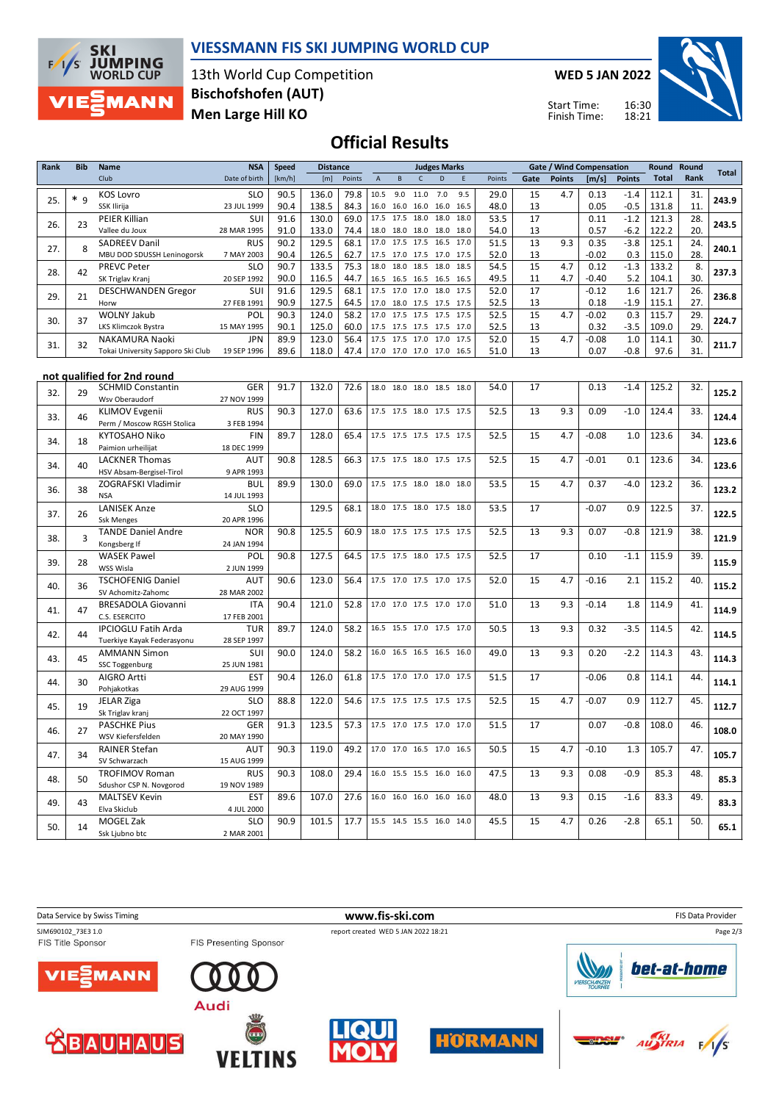

### **VIESSMANN FIS SKI JUMPING WORLD CUP**

13th World Cup Competition **Men Large Hill KO Bischofshofen (AUT)**

**WED 5 JAN 2022**

Start Time: Finish Time:



## **Official Results**

| <b>Rank</b> | <b>Bib</b>     | <b>Name</b>                                        | <b>NSA</b>                | <b>Speed</b> | <b>Distance</b> |              |             |              |                                  | <b>Judges Marks</b>      |              |              |          | <b>Gate / Wind Compensation</b> |                 |                  | Round Round    |                                                                                                                                                                                                                                                                                |              |
|-------------|----------------|----------------------------------------------------|---------------------------|--------------|-----------------|--------------|-------------|--------------|----------------------------------|--------------------------|--------------|--------------|----------|---------------------------------|-----------------|------------------|----------------|--------------------------------------------------------------------------------------------------------------------------------------------------------------------------------------------------------------------------------------------------------------------------------|--------------|
|             |                | Club                                               | Date of birth             | [km/h]       | [m]             | Points       | $\mathsf A$ | $\, {\bf B}$ | $\mathsf{C}$                     | D                        | $\mathsf E$  | Points       | Gate     | <b>Points</b>                   | [m/s]           | <b>Points</b>    | <b>Total</b>   | Rank                                                                                                                                                                                                                                                                           | <b>Total</b> |
| 25.         | $* q$          | <b>KOS Lovro</b><br>SSK Ilirija                    | <b>SLO</b><br>23 JUL 1999 | 90.5<br>90.4 | 136.0<br>138.5  | 79.8<br>84.3 | 10.5        | 9.0          | 11.0<br>16.0 16.0 16.0 16.0      | 7.0                      | 9.5<br>16.5  | 29.0<br>48.0 | 15<br>13 | 4.7                             | 0.13<br>0.05    | $-1.4$<br>$-0.5$ | 112.1<br>131.8 | 31.<br>11.                                                                                                                                                                                                                                                                     | 243.9        |
| 26.         | 23             | PEIER Killian<br>Vallee du Joux                    | SUI<br>28 MAR 1995        | 91.6<br>91.0 | 130.0<br>133.0  | 69.0<br>74.4 | 18.0        | 18.0         | 17.5 17.5 18.0<br>18.0           | 18.0<br>18.0             | 18.0<br>18.0 | 53.5<br>54.0 | 17<br>13 |                                 | 0.11<br>0.57    | $-1.2$<br>$-6.2$ | 121.3          | 28.                                                                                                                                                                                                                                                                            | 243.5        |
|             |                | <b>SADREEV Danil</b>                               | <b>RUS</b>                | 90.2         | 129.5           | 68.1         | 17.0        | 17.5         | 17.5                             | 16.5                     | 17.0         | 51.5         | 13       | 9.3                             | 0.35            | $-3.8$           |                |                                                                                                                                                                                                                                                                                |              |
| 27.         | 8              | MBU DOD SDUSSH Leninogorsk                         | 7 MAY 2003                | 90.4         | 126.5           | 62.7         |             |              | 17.5 17.0 17.5 17.0              |                          | 17.5         | 52.0         | 13       |                                 | $-0.02$         | 0.3              | 115.0          |                                                                                                                                                                                                                                                                                | 240.1        |
|             |                | <b>PREVC Peter</b>                                 | <b>SLO</b>                | 90.7         | 133.5           | 75.3         | 18.0        | 18.0         | 18.5                             | 18.0                     | 18.5         | 54.5         | 15       | 4.7                             | 0.12            | $-1.3$           | 133.2          | 8.                                                                                                                                                                                                                                                                             |              |
| 28.         | 42             | SK Triglav Kranj                                   | 20 SEP 1992               | 90.0         | 116.5           | 44.7         |             |              | 16.5 16.5 16.5                   | 16.5                     | 16.5         | 49.5         | 11       | 4.7                             | $-0.40$         | 5.2              | 104.1          | 30.                                                                                                                                                                                                                                                                            | 237.3        |
| 29.         | 21             | <b>DESCHWANDEN Gregor</b>                          | SUI                       | 91.6         | 129.5           | 68.1         |             |              | 17.5 17.0 17.0                   | 18.0                     | 17.5         | 52.0         | 17       |                                 | $-0.12$         | 1.6              | 121.7          | 26.                                                                                                                                                                                                                                                                            | 236.8        |
|             |                | Horw                                               | 27 FEB 1991               | 90.9         | 127.5           | 64.5         | 17.0        | 18.0         | 17.5                             | 17.5                     | 17.5         | 52.5         | 13       |                                 | 0.18            | $-1.9$           |                |                                                                                                                                                                                                                                                                                |              |
| 30.         | 37             | <b>WOLNY Jakub</b><br>LKS Klimczok Bystra          | POL<br>15 MAY 1995        | 90.3<br>90.1 | 124.0<br>125.0  | 58.2<br>60.0 | 17.0        |              | 17.5 17.5<br>17.5 17.5 17.5 17.5 | 17.5                     | 17.5<br>17.0 | 52.5<br>52.5 | 15<br>13 | 4.7                             | $-0.02$<br>0.32 | 0.3<br>$-3.5$    |                |                                                                                                                                                                                                                                                                                | 224.7        |
|             |                | NAKAMURA Naoki                                     | <b>JPN</b>                | 89.9         | 123.0           | 56.4         |             |              | 17.5 17.5 17.0                   | 17.0                     | 17.5         | 52.0         | 15       | 4.7                             | $-0.08$         | 1.0              |                |                                                                                                                                                                                                                                                                                |              |
| 31.         | 32             | Tokai University Sapporo Ski Club                  | 19 SEP 1996               | 89.6         | 118.0           | 47.4         |             |              | 17.0 17.0 17.0                   | 17.0                     | 16.5         | 51.0         | 13       |                                 | 0.07            | $-0.8$           | 97.6           | 31.                                                                                                                                                                                                                                                                            | 211.7        |
|             |                |                                                    |                           |              |                 |              |             |              |                                  |                          |              |              |          |                                 |                 |                  |                |                                                                                                                                                                                                                                                                                |              |
|             |                | not qualified for 2nd round                        |                           |              |                 |              |             |              |                                  |                          |              |              |          |                                 |                 |                  |                |                                                                                                                                                                                                                                                                                |              |
| 32.         | 29             | <b>SCHMID Constantin</b>                           | <b>GER</b>                | 91.7         | 132.0           | 72.6         | 18.0        | 18.0         | 18.0                             | 18.5                     | 18.0         | 54.0         | 17       |                                 | 0.13            | $-1.4$           | 125.2          | 32.                                                                                                                                                                                                                                                                            | 125.2        |
|             |                | Wsv Oberaudorf                                     | 27 NOV 1999               |              |                 |              |             |              |                                  |                          |              |              |          |                                 |                 |                  |                |                                                                                                                                                                                                                                                                                |              |
| 33.         | 46             | <b>KLIMOV Evgenii</b>                              | <b>RUS</b>                | 90.3         | 127.0           | 63.6         |             |              | 17.5 17.5 18.0                   | 17.5                     | 17.5         | 52.5         | 13       | 9.3                             | 0.09            | $-1.0$           |                |                                                                                                                                                                                                                                                                                | 124.4        |
|             |                | Perm / Moscow RGSH Stolica<br><b>KYTOSAHO Niko</b> | 3 FEB 1994<br><b>FIN</b>  | 89.7         | 128.0           | 65.4         |             |              |                                  | 17.5 17.5 17.5 17.5 17.5 |              | 52.5         | 15       | 4.7                             | $-0.08$         | 1.0              |                |                                                                                                                                                                                                                                                                                |              |
| 34.         | 18             | Paimion urheilijat                                 | 18 DEC 1999               |              |                 |              |             |              |                                  |                          |              |              |          |                                 |                 |                  |                |                                                                                                                                                                                                                                                                                | 123.6        |
|             |                | <b>LACKNER Thomas</b>                              | AUT                       | 90.8         | 128.5           | 66.3         |             |              | 17.5 17.5 18.0 17.5              |                          | 17.5         | 52.5         | 15       | 4.7                             | $-0.01$         | 0.1              |                | 34.                                                                                                                                                                                                                                                                            |              |
| 34.         | 40             | HSV Absam-Bergisel-Tirol                           | 9 APR 1993                |              |                 |              |             |              |                                  |                          |              |              |          |                                 |                 |                  |                |                                                                                                                                                                                                                                                                                | 123.6        |
| 36.         | 38             | ZOGRAFSKI Vladimir                                 | <b>BUL</b>                | 89.9         | 130.0           | 69.0         |             |              | 17.5 17.5 18.0                   | 18.0                     | 18.0         | 53.5         | 15       | 4.7                             | 0.37            | $-4.0$           | 123.2          | 36.                                                                                                                                                                                                                                                                            | 123.2        |
|             |                | <b>NSA</b>                                         | 14 JUL 1993               |              |                 |              |             |              |                                  |                          |              |              |          |                                 |                 |                  |                |                                                                                                                                                                                                                                                                                |              |
| 37.         | 26             | <b>LANISEK Anze</b>                                | <b>SLO</b>                |              | 129.5           | 68.1         |             |              |                                  | 18.0 17.5 18.0 17.5 18.0 |              | 53.5         | 17       |                                 | $-0.07$         | 0.9              | 122.5          |                                                                                                                                                                                                                                                                                | 122.5        |
|             |                | <b>Ssk Menges</b>                                  | 20 APR 1996               |              |                 |              |             |              |                                  |                          |              |              |          |                                 |                 |                  |                |                                                                                                                                                                                                                                                                                |              |
| 38.         | $\overline{3}$ | <b>TANDE Daniel Andre</b>                          | <b>NOR</b>                | 90.8         | 125.5           | 60.9         |             |              | 18.0 17.5 17.5                   | 17.5                     | 17.5         | 52.5         | 13       | 9.3                             | 0.07            | $-0.8$           |                |                                                                                                                                                                                                                                                                                | 121.9        |
|             |                | Kongsberg If<br><b>WASEK Pawel</b>                 | 24 JAN 1994<br>POL        | 90.8         | 127.5           | 64.5         |             |              | 17.5 17.5 18.0                   | 17.5                     | 17.5         | 52.5         | 17       |                                 | 0.10            | $-1.1$           |                |                                                                                                                                                                                                                                                                                |              |
| 39.         | 28             | WSS Wisla                                          | 2 JUN 1999                |              |                 |              |             |              |                                  |                          |              |              |          |                                 |                 |                  |                |                                                                                                                                                                                                                                                                                | 115.9        |
|             |                | <b>TSCHOFENIG Daniel</b>                           | AUT                       | 90.6         | 123.0           | 56.4         |             |              |                                  | 17.5 17.0 17.5 17.0 17.5 |              | 52.0         | 15       | 4.7                             | $-0.16$         | 2.1              | 115.2          |                                                                                                                                                                                                                                                                                |              |
| 40.         | 36             | SV Achomitz-Zahomc                                 | 28 MAR 2002               |              |                 |              |             |              |                                  |                          |              |              |          |                                 |                 |                  |                |                                                                                                                                                                                                                                                                                | 115.2        |
|             | 47             | <b>BRESADOLA Giovanni</b>                          | <b>ITA</b>                | 90.4         | 121.0           | 52.8         |             |              | $\overline{17.0}$ 17.0 17.5      | 17.0                     | 17.0         | 51.0         | 13       | 9.3                             | $-0.14$         | 1.8              | 114.9          | 41.                                                                                                                                                                                                                                                                            |              |
| 41.         |                | C.S. ESERCITO                                      | 17 FEB 2001               |              |                 |              |             |              |                                  |                          |              |              |          |                                 |                 |                  |                |                                                                                                                                                                                                                                                                                | 114.9        |
| 42.         | 44             | <b>IPCIOGLU Fatih Arda</b>                         | <b>TUR</b>                | 89.7         | 124.0           | 58.2         | 16.5        | 15.5         | 17.0                             | 17.5                     | 17.0         | 50.5         | 13       | 9.3                             | 0.32            | $-3.5$           | 114.5          | 42.                                                                                                                                                                                                                                                                            | 114.5        |
|             |                | Tuerkiye Kayak Federasyonu                         | 28 SEP 1997               |              |                 |              |             |              |                                  |                          |              |              |          |                                 |                 |                  |                |                                                                                                                                                                                                                                                                                |              |
| 43.         | 45             | <b>AMMANN Simon</b>                                | SUI                       | 90.0         | 124.0           | 58.2         |             |              |                                  | 16.0 16.5 16.5 16.5      | 16.0         | 49.0         | 13       | 9.3                             | 0.20            | $-2.2$           |                |                                                                                                                                                                                                                                                                                | 114.3        |
|             |                | <b>SSC Toggenburg</b><br><b>AIGRO Artti</b>        | 25 JUN 1981<br><b>EST</b> | 90.4         | 126.0           | 61.8         |             |              | 17.5 17.0 17.0                   | 17.0                     | 17.5         | 51.5         | 17       |                                 | $-0.06$         | 0.8              |                |                                                                                                                                                                                                                                                                                |              |
| 44.         | 30             | Pohjakotkas                                        | 29 AUG 1999               |              |                 |              |             |              |                                  |                          |              |              |          |                                 |                 |                  |                |                                                                                                                                                                                                                                                                                | 114.1        |
|             |                | <b>JELAR Ziga</b>                                  | <b>SLO</b>                | 88.8         | 122.0           | 54.6         |             |              | 17.5 17.5 17.5 17.5              |                          | 17.5         | 52.5         | 15       | 4.7                             | $-0.07$         | 0.9              | 112.7          | 45.                                                                                                                                                                                                                                                                            |              |
| 45.         | 19             | Sk Triglav kranj                                   | 22 OCT 1997               |              |                 |              |             |              |                                  |                          |              |              |          |                                 |                 |                  |                |                                                                                                                                                                                                                                                                                | 112.7        |
| 46.         | 27             | <b>PASCHKE Pius</b>                                | GER                       | 91.3         | 123.5           | 57.3         |             |              |                                  | 17.5 17.0 17.5 17.0 17.0 |              | 51.5         | 17       |                                 | 0.07            | $-0.8$           | 108.0          | 46.                                                                                                                                                                                                                                                                            | 108.0        |
|             |                | WSV Kiefersfelden                                  | 20 MAY 1990               |              |                 |              |             |              |                                  |                          |              |              |          |                                 |                 |                  |                |                                                                                                                                                                                                                                                                                |              |
| 47.         | 34             | <b>RAINER Stefan</b>                               | AUT                       | 90.3         | 119.0           | 49.2         | 17.0        | 17.0         | 16.5                             | 17.0                     | 16.5         | 50.5         | 15       | 4.7                             | $-0.10$         | 1.3              | 105.7          |                                                                                                                                                                                                                                                                                | 105.7        |
|             |                | SV Schwarzach                                      | 15 AUG 1999               |              |                 |              |             |              |                                  |                          |              |              |          |                                 |                 |                  |                |                                                                                                                                                                                                                                                                                |              |
| 48.         | 50             | <b>TROFIMOV Roman</b>                              | <b>RUS</b><br>19 NOV 1989 | 90.3         | 108.0           | 29.4         | 16.0        | 15.5         | 15.5                             | 16.0                     | 16.0         | 47.5         | 13       | 9.3                             | 0.08            | $-0.9$           |                |                                                                                                                                                                                                                                                                                | 85.3         |
|             |                | Sdushor CSP N. Novgorod<br><b>MALTSEV Kevin</b>    | <b>EST</b>                | 89.6         | 107.0           | 27.6         |             |              | 16.0 16.0 16.0 16.0              |                          | 16.0         | 48.0         | 13       | 9.3                             | 0.15            | $-1.6$           |                | 122.2<br>20.<br>125.1<br>24.<br>28.<br>27.<br>115.1<br>115.7<br>29.<br>109.0<br>29.<br>114.1<br>30.<br>33.<br>124.4<br>123.6<br>34.<br>123.6<br>37.<br>121.9<br>38.<br>39.<br>115.9<br>40.<br>43.<br>114.3<br>44.<br>114.1<br>47.<br>85.3<br>48.<br>83.3<br>49.<br>65.1<br>50. |              |
| 49.         | 43             | Elva Skiclub                                       | 4 JUL 2000                |              |                 |              |             |              |                                  |                          |              |              |          |                                 |                 |                  |                |                                                                                                                                                                                                                                                                                | 83.3         |
|             |                | MOGEL Zak                                          | <b>SLO</b>                | 90.9         | 101.5           | 17.7         |             |              |                                  | 15.5 14.5 15.5 16.0 14.0 |              | 45.5         | 15       | 4.7                             | 0.26            | $-2.8$           |                |                                                                                                                                                                                                                                                                                |              |
| 50.         | 14             | Ssk Ljubno btc                                     | 2 MAR 2001                |              |                 |              |             |              |                                  |                          |              |              |          |                                 |                 |                  |                |                                                                                                                                                                                                                                                                                | 65.1         |

Data Service by Swiss Timing **WWW.fis-ski.com www.fis-ski.com FIS Data Provider** SJM690102\_73E3 1.0 report created WED 5 JAN 2022 18:21<br>FIS Title Sponsor FIS Presenting Sponsor report created WED 5 JAN 2022 18:21 Page 2/3bet-at-home /IE. MANN Audi **HÖRMANN**  $\frac{1}{2}$ **BAUHAUS TALL VELTINS**